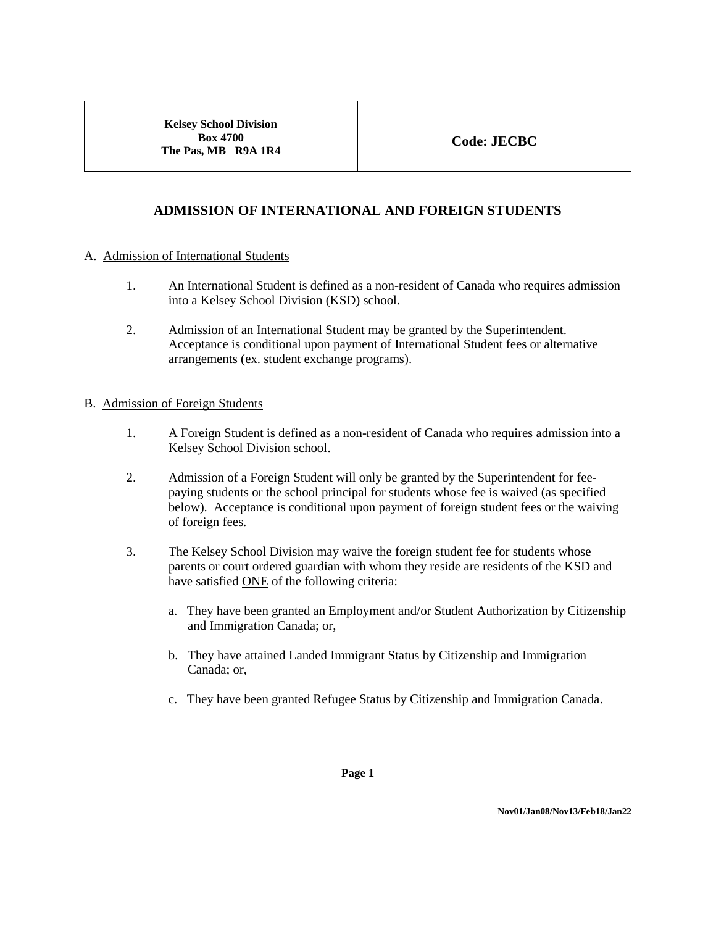**Kelsey School Division Box 4700 The Pas, MB R9A 1R4**

# **ADMISSION OF INTERNATIONAL AND FOREIGN STUDENTS**

### A.Admission of International Students

- 1. An International Student is defined as a non-resident of Canada who requires admission into a Kelsey School Division (KSD) school.
- 2. Admission of an International Student may be granted by the Superintendent. Acceptance is conditional upon payment of International Student fees or alternative arrangements (ex. student exchange programs).

### B.Admission of Foreign Students

- 1. A Foreign Student is defined as a non-resident of Canada who requires admission into a Kelsey School Division school.
- 2. Admission of a Foreign Student will only be granted by the Superintendent for feepaying students or the school principal for students whose fee is waived (as specified below). Acceptance is conditional upon payment of foreign student fees or the waiving of foreign fees.
- 3. The Kelsey School Division may waive the foreign student fee for students whose parents or court ordered guardian with whom they reside are residents of the KSD and have satisfied ONE of the following criteria:
	- a. They have been granted an Employment and/or Student Authorization by Citizenship and Immigration Canada; or,
	- b. They have attained Landed Immigrant Status by Citizenship and Immigration Canada; or,
	- c. They have been granted Refugee Status by Citizenship and Immigration Canada.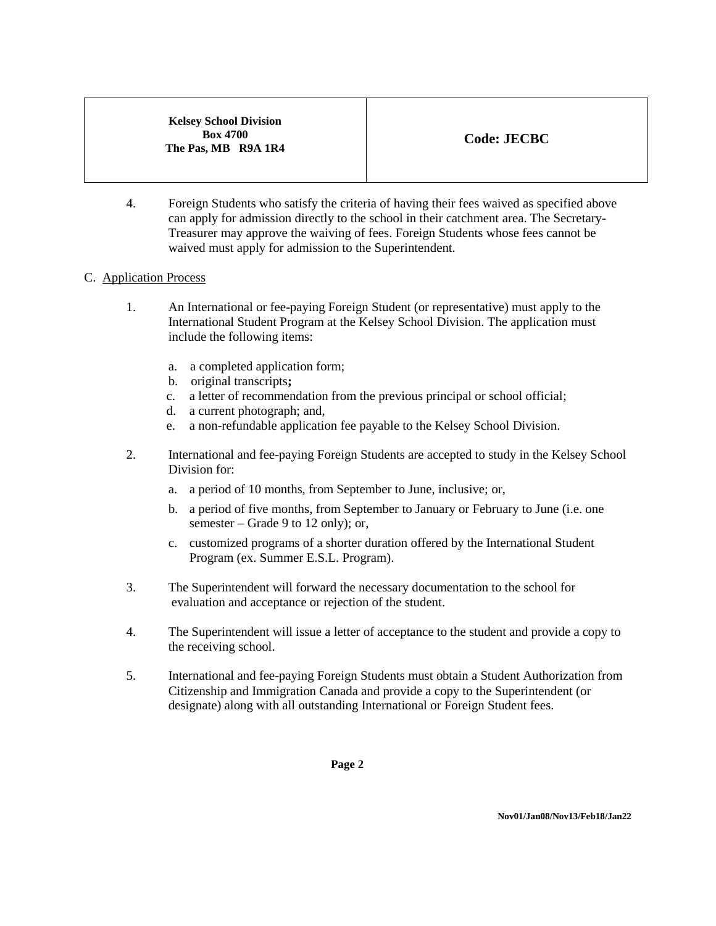**Kelsey School Division Box 4700 The Pas, MB R9A 1R4**

4. Foreign Students who satisfy the criteria of having their fees waived as specified above can apply for admission directly to the school in their catchment area. The Secretary-Treasurer may approve the waiving of fees. Foreign Students whose fees cannot be waived must apply for admission to the Superintendent.

# C.Application Process

- 1. An International or fee-paying Foreign Student (or representative) must apply to the International Student Program at the Kelsey School Division. The application must include the following items:
	- a. a completed application form;
	- b. original transcripts**;**
	- c. a letter of recommendation from the previous principal or school official;
	- d. a current photograph; and,
	- e. a non-refundable application fee payable to the Kelsey School Division.
- 2. International and fee-paying Foreign Students are accepted to study in the Kelsey School Division for:
	- a. a period of 10 months, from September to June, inclusive; or,
	- b. a period of five months, from September to January or February to June (i.e. one semester – Grade 9 to 12 only); or,
	- c. customized programs of a shorter duration offered by the International Student Program (ex. Summer E.S.L. Program).
- 3. The Superintendent will forward the necessary documentation to the school for evaluation and acceptance or rejection of the student.
- 4. The Superintendent will issue a letter of acceptance to the student and provide a copy to the receiving school.
- 5. International and fee-paying Foreign Students must obtain a Student Authorization from Citizenship and Immigration Canada and provide a copy to the Superintendent (or designate) along with all outstanding International or Foreign Student fees.

**Page 2**

**Nov01/Jan08/Nov13/Feb18/Jan22**